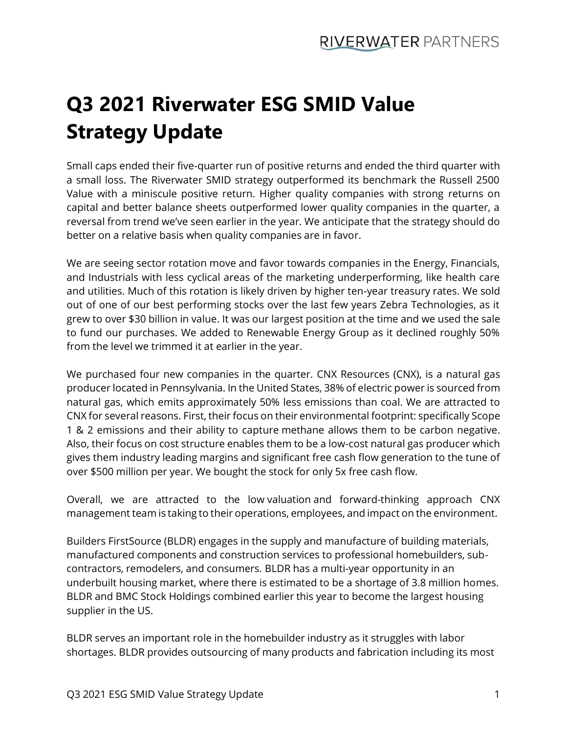## **Q3 2021 Riverwater ESG SMID Value Strategy Update**

Small caps ended their five-quarter run of positive returns and ended the third quarter with a small loss. The Riverwater SMID strategy outperformed its benchmark the Russell 2500 Value with a miniscule positive return. Higher quality companies with strong returns on capital and better balance sheets outperformed lower quality companies in the quarter, a reversal from trend we've seen earlier in the year. We anticipate that the strategy should do better on a relative basis when quality companies are in favor.

We are seeing sector rotation move and favor towards companies in the Energy, Financials, and Industrials with less cyclical areas of the marketing underperforming, like health care and utilities. Much of this rotation is likely driven by higher ten-year treasury rates. We sold out of one of our best performing stocks over the last few years Zebra Technologies, as it grew to over \$30 billion in value. It was our largest position at the time and we used the sale to fund our purchases. We added to Renewable Energy Group as it declined roughly 50% from the level we trimmed it at earlier in the year.

We purchased four new companies in the quarter. CNX Resources (CNX), is a natural gas producer located in Pennsylvania. In the United States, 38% of electric power is sourced from natural gas, which emits approximately 50% less emissions than coal. We are attracted to CNX for several reasons. First, their focus on their environmental footprint: specifically Scope 1 & 2 emissions and their ability to capture methane allows them to be carbon negative. Also, their focus on cost structure enables them to be a low-cost natural gas producer which gives them industry leading margins and significant free cash flow generation to the tune of over \$500 million per year. We bought the stock for only 5x free cash flow.

Overall, we are attracted to the low valuation and forward-thinking approach CNX management team is taking to their operations, employees, and impact on the environment.

Builders FirstSource (BLDR) engages in the supply and manufacture of building materials, manufactured components and construction services to professional homebuilders, subcontractors, remodelers, and consumers. BLDR has a multi-year opportunity in an underbuilt housing market, where there is estimated to be a shortage of 3.8 million homes. BLDR and BMC Stock Holdings combined earlier this year to become the largest housing supplier in the US.

BLDR serves an important role in the homebuilder industry as it struggles with labor shortages. BLDR provides outsourcing of many products and fabrication including its most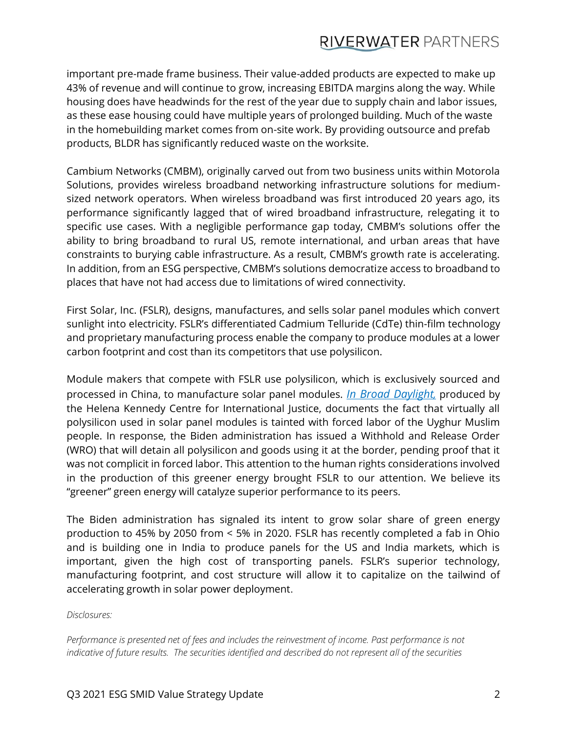## **RIVERWATER PARTNERS**

important pre-made frame business. Their value-added products are expected to make up 43% of revenue and will continue to grow, increasing EBITDA margins along the way. While housing does have headwinds for the rest of the year due to supply chain and labor issues, as these ease housing could have multiple years of prolonged building. Much of the waste in the homebuilding market comes from on-site work. By providing outsource and prefab products, BLDR has significantly reduced waste on the worksite.

Cambium Networks (CMBM), originally carved out from two business units within Motorola Solutions, provides wireless broadband networking infrastructure solutions for mediumsized network operators. When wireless broadband was first introduced 20 years ago, its performance significantly lagged that of wired broadband infrastructure, relegating it to specific use cases. With a negligible performance gap today, CMBM's solutions offer the ability to bring broadband to rural US, remote international, and urban areas that have constraints to burying cable infrastructure. As a result, CMBM's growth rate is accelerating. In addition, from an ESG perspective, CMBM's solutions democratize access to broadband to places that have not had access due to limitations of wired connectivity.

First Solar, Inc. (FSLR), designs, manufactures, and sells solar panel modules which convert sunlight into electricity. FSLR's differentiated Cadmium Telluride (CdTe) thin-film technology and proprietary manufacturing process enable the company to produce modules at a lower carbon footprint and cost than its competitors that use polysilicon.

Module makers that compete with FSLR use polysilicon, which is exclusively sourced and processed in China, to manufacture solar panel modules. *[In Broad Daylight](https://www.shu.ac.uk/helena-kennedy-centre-international-justice/research-and-projects/all-projects/in-broad-daylight),* produced by the Helena Kennedy Centre for International Justice, documents the fact that virtually all polysilicon used in solar panel modules is tainted with forced labor of the Uyghur Muslim people. In response, the Biden administration has issued a Withhold and Release Order (WRO) that will detain all polysilicon and goods using it at the border, pending proof that it was not complicit in forced labor. This attention to the human rights considerations involved in the production of this greener energy brought FSLR to our attention. We believe its "greener" green energy will catalyze superior performance to its peers.

The Biden administration has signaled its intent to grow solar share of green energy production to 45% by 2050 from < 5% in 2020. FSLR has recently completed a fab in Ohio and is building one in India to produce panels for the US and India markets, which is important, given the high cost of transporting panels. FSLR's superior technology, manufacturing footprint, and cost structure will allow it to capitalize on the tailwind of accelerating growth in solar power deployment.

*Disclosures:*

*Performance is presented net of fees and includes the reinvestment of income. Past performance is not indicative of future results. The securities identified and described do not represent all of the securities*